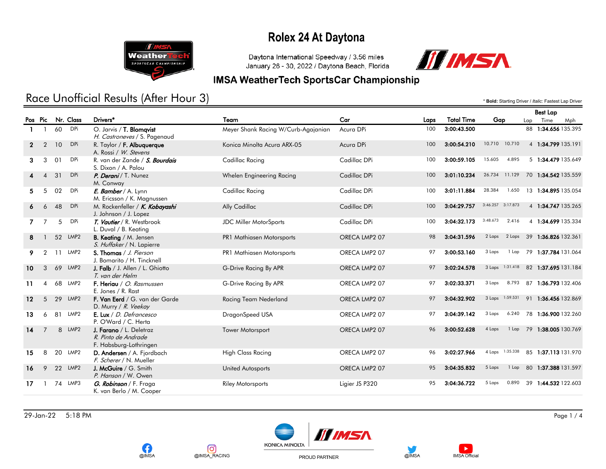

Daytona International Speedway / 3.56 miles January 26 - 30, 2022 / Daytona Beach, Florida



#### **IMSA WeatherTech SportsCar Championship**

## Race Unofficial Results (After Hour 3) **And a set of the Case of Lap Driver /** *Italic:* **Fastest Lap Driver /** *Italic:* **Fastest Lap Driver**

|                   |                |    |                  |                                                                          |                                     |                |      |                   |                   | pest rap |                           |     |
|-------------------|----------------|----|------------------|--------------------------------------------------------------------------|-------------------------------------|----------------|------|-------------------|-------------------|----------|---------------------------|-----|
| Pos Pic           |                |    | Nr. Class        | Drivers*                                                                 | Team                                | Car            | Laps | <b>Total Time</b> | Gap               | Lap      | Time                      | Mph |
| $\mathbf{1}$      |                | 60 | <b>DPi</b>       | O. Jarvis / T. Blomqvist<br>H. Castroneves / S. Pagenaud                 | Meyer Shank Racing W/Curb-Agajanian | Acura DPi      | 100  | 3:00:43.500       |                   |          | 88 1:34.656 135.395       |     |
| $\mathbf{2}$      | 2              | 10 | <b>DPi</b>       | R. Taylor / F. Albuquerque<br>A. Rossi / W. Stevens                      | Konica Minolta Acura ARX-05         | Acura DPi      | 100  | 3:00:54.210       | 10.710<br>10.710  |          | 4 1:34.799 135.191        |     |
| 3.                | 3              | 01 | DPi              | R. van der Zande / S. Bourdais<br>S. Dixon / A. Palou                    | Cadillac Racing                     | Cadillac DPi   | 100  | 3:00:59.105       | 15.605<br>4.895   |          | 5 1:34.479 135.649        |     |
|                   | Δ              | 31 | <b>DPi</b>       | P. Derani / T. Nunez<br>M. Conway                                        | Whelen Engineering Racing           | Cadillac DPi   | 100  | 3:01:10.234       | 26.734<br>11.129  |          | 70 1:34.542 135.559       |     |
| 5.                | 5              | 02 | <b>DPi</b>       | E. Bamber / A. Lynn<br>M. Ericsson / K. Magnussen                        | Cadillac Racing                     | Cadillac DPi   | 100  | 3:01:11.884       | 28.384<br>1.650   |          | 13 1:34.895 135.054       |     |
| 6.                | 6              | 48 | <b>DPi</b>       | M. Rockenfeller / K. Kobayashi<br>J. Johnson / J. Lopez                  | Ally Cadillac                       | Cadillac DPi   | 100  | 3:04:29.757       | 3:46.257 3:17.873 |          | 4 1:34.747 135.265        |     |
|                   |                | 5  | DPi              | T. Vautier / R. Westbrook<br>L. Duval / B. Keating                       | <b>JDC Miller MotorSports</b>       | Cadillac DPi   | 100  | 3:04:32.173       | 3:48.673<br>2.416 |          | 4 1:34.699 135.334        |     |
| 8                 |                |    | 52 LMP2          | <b>B. Keating / M. Jensen</b><br>S. Huffaker / N. Lapierre               | PR1 Mathiasen Motorsports           | ORECA LMP2 07  | 98   | 3:04:31.596       | 2 Laps<br>2 Laps  |          | 39 1:36.826 132.361       |     |
| 9.                |                | 11 | LMP2             | S. Thomas / J. Pierson<br>J. Bomarito / H. Tincknell                     | PR1 Mathiasen Motorsports           | ORECA LMP2 07  | 97   | 3:00:53.160       | 3 Laps<br>1 Lap   |          | 79 1:37.784 131.064       |     |
| 10                | 3              |    | 69 LMP2          | J. Falb / J. Allen / L. Ghiotto<br>T. van der Helm                       | G-Drive Racing By APR               | ORECA LMP2 07  | 97   | 3:02:24.578       | 3 Laps 1:31.418   |          | 82 1:37.695 131.184       |     |
| 11                | 4              |    | 68 LMP2          | F. Heriau / O. Rasmussen<br>E. Jones / R. Rast                           | G-Drive Racing By APR               | ORECA LMP2 07  | 97   | 3:02:33.371       | 8.793<br>3 Laps   |          | 87 1:36.793 132.406       |     |
| $12 \overline{ }$ | 5              | 29 | LMP <sub>2</sub> | F. Van Eerd / G. van der Garde<br>D. Murry / R. Veekay                   | Racing Team Nederland               | ORECA LMP2 07  | 97   | 3:04:32.902       | 3 Laps 1:59.531   |          | 91 1:36.456 132.869       |     |
| 13                | 6              | 81 | LMP2             | E. Lux / D. Defrancesco<br>P. O'Ward / C. Herta                          | DragonSpeed USA                     | ORECA LMP2 07  | 97   | 3:04:39.142       | 6.240<br>3 Laps   |          | 78 1:36.900 132.260       |     |
| 14                | $\overline{7}$ |    | 8 LMP2           | J. Farano / L. Deletraz<br>R. Pinto de Andrade<br>F. Habsburg-Lothringen | <b>Tower Motorsport</b>             | ORECA LMP2 07  | 96   | 3:00:52.628       | 4 Laps            |          | 1 Lap 79 1:38.005 130.769 |     |
| 15                | 8              |    | 20 LMP2          | D. Andersen / A. Fjordbach<br>F. Scherer / N. Mueller                    | <b>High Class Racing</b>            | ORECA LMP2 07  | 96   | 3:02:27.966       | 4 Laps 1:35.338   |          | 85 1:37.113 131.970       |     |
| 16                | 9              |    | 22 LMP2          | J. McGuire / G. Smith<br>P. Hanson / W. Owen                             | <b>United Autosports</b>            | ORECA LMP2 07  | 95   | 3:04:35.832       | 5 Laps<br>$1$ Lap |          | 80 1:37.388 131.597       |     |
| 17                |                |    | 74 LMP3          | G. Robinson / F. Fraga<br>K. van Berlo / M. Cooper                       | <b>Riley Motorsports</b>            | Ligier JS P320 | 95   | 3:04:36.722       | 5 Laps<br>0.890   |          | 39 1:44.532 122.603       |     |







PROUD PARTNER





Best Lap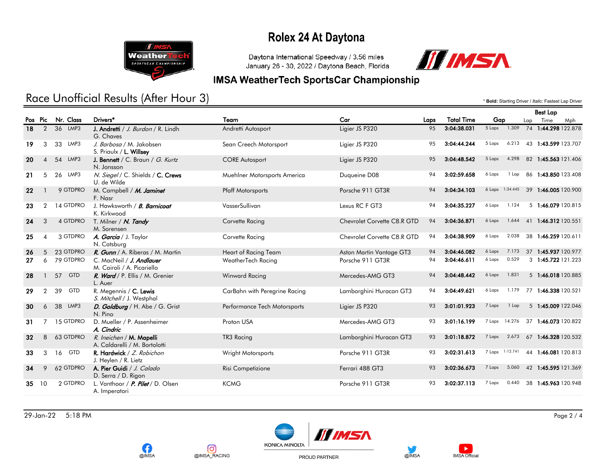

Daytona International Speedway / 3.56 miles January 26 - 30, 2022 / Daytona Beach, Florida



#### **IMSA WeatherTech SportsCar Championship**

## Race Unofficial Results (After Hour 3) **And a set of the Case of Lap Driver /** *Italic:* **Fastest Lap Driver /** *Italic:* **Fastest Lap Driver**

|     |                |            |                                                           |                               |                             |      |                   |                   |    | <b>Best Lap</b>     |
|-----|----------------|------------|-----------------------------------------------------------|-------------------------------|-----------------------------|------|-------------------|-------------------|----|---------------------|
|     | Pos Pic        | Nr. Class  | Drivers*                                                  | Team                          | Car                         | Laps | <b>Total Time</b> | Gap               |    | Time<br>Mph<br>Lap  |
| 18  | $\overline{2}$ | 36 LMP3    | J. Andretti / J. Burdon / R. Lindh<br>G. Chaves           | Andretti Autosport            | Ligier JS P320              | 95   | 3:04:38.031       | 1.309<br>5 Laps   |    | 74 1:44.298 122.878 |
| 19  | 3              | LMP3<br>33 | J. Barbosa / M. Jakobsen<br>S. Priaulx / L. Willsey       | Sean Creech Motorsport        | Ligier JS P320              | 95   | 3:04:44.244       | 6.213<br>5 Laps   |    | 43 1:43.599 123.707 |
| -20 | $\overline{4}$ | 54 LMP3    | J. Bennett / C. Braun / G. Kurtz<br>N. Jonsson            | <b>CORE Autosport</b>         | Ligier JS P320              | 95   | 3:04:48.542       | 4.298<br>5 Laps   |    | 82 1:45.563 121.406 |
| 21  | 5              | 26 LMP3    | N. Siegel / C. Shields / C. Crews<br>U. de Wilde          | Muehlner Motorsports America  | Duqueine D08                | 94   | 3:02:59.658       | 6 Laps<br>1 Lap   |    | 86 1:43.850 123.408 |
| 22  |                | 9 GTDPRO   | M. Campbell / M. Jaminet<br>F. Nasr                       | <b>Pfaff Motorsports</b>      | Porsche 911 GT3R            | 94   | 3:04:34.103       | 6 Laps 1:34.445   |    | 39 1:46.005 120.900 |
| 23  | $\overline{2}$ | 14 GTDPRO  | J. Hawksworth / <b>B. Barnicoat</b><br>K. Kirkwood        | VasserSullivan                | Lexus RC F GT3              | 94   | 3:04:35.227       | 6 Laps<br>1.124   |    | 5 1:46.079 120.815  |
| 24  | 3              | 4 GTDPRO   | T. Milner / N. Tandy<br>M. Sorensen                       | Corvette Racing               | Chevrolet Corvette C8.R GTD | 94   | 3:04:36.871       | 6 Laps<br>1.644   |    | 41 1:46.312 120.551 |
| 25  | ⊿              | 3 GTDPRO   | A. Garcia / J. Taylor<br>N. Catsburg                      | Corvette Racing               | Chevrolet Corvette C8.R GTD | 94   | 3:04:38.909       | 6 Laps<br>2.038   |    | 38 1:46.259 120.611 |
| 26  | 5              | 23 GTDPRO  | R. Gunn / A. Riberas / M. Martin                          | Heart of Racing Team          | Aston Martin Vantage GT3    | 94   | 3:04:46.082       | 6 Laps<br>7.173   |    | 37 1:45.937 120.977 |
| 27  | 6              | 79 GTDPRO  | C. MacNeil / J. Andlauer<br>M. Cairoli / A. Picariello    | WeatherTech Racing            | Porsche 911 GT3R            | 94   | 3:04:46.611       | 0.529<br>6 Laps   |    | 3 1:45.722 121.223  |
| 28  |                | 57 GTD     | R. Ward / P. Ellis / M. Grenier<br>L. Auer                | Winward Racing                | Mercedes-AMG GT3            | 94   | 3:04:48.442       | 6 Laps<br>1.831   |    | 5 1:46.018 120.885  |
| 29  | $\overline{2}$ | 39<br>GTD  | R. Megennis / C. Lewis<br>S. Mitchell / J. Westphal       | CarBahn with Peregrine Racing | Lamborghini Huracan GT3     | 94   | 3:04:49.621       | 1.179<br>6 Laps   |    | 77 1:46.338 120.521 |
| 30  | 6              | 38 LMP3    | D. Goldburg / H. Abe / G. Grist<br>N. Pino                | Performance Tech Motorsports  | Ligier JS P320              | 93   | 3:01:01.923       | 7 Laps<br>$1$ Lap |    | 5 1:45.009 122.046  |
| 31  |                | 15 GTDPRO  | D. Mueller / P. Assenheimer<br>A. Cindric                 | Proton USA                    | Mercedes-AMG GT3            | 93   | 3:01:16.199       | 7 Laps<br>14.276  | 37 | 1:46.073 120.822    |
| 32  | 8              | 63 GTDPRO  | R. Ineichen / M. Mapelli<br>A. Caldarelli / M. Bortolotti | TR3 Racing                    | Lamborghini Huracan GT3     | 93   | 3:01:18.872       | 2.673<br>7 Laps   |    | 67 1:46.328 120.532 |
| 33  | 3              | 16 GTD     | R. Hardwick / Z. Robichon<br>J. Heylen / R. Lietz         | Wright Motorsports            | Porsche 911 GT3R            | 93   | 3:02:31.613       | 7 Laps 1:12.741   |    | 44 1:46.081 120.813 |
| 34  | 9              | 62 GTDPRO  | A. Pier Guidi / J. Calado<br>D. Serra / D. Rigon          | Risi Competizione             | Ferrari 488 GT3             | 93   | 3:02:36.673       | 7 Laps<br>5.060   |    | 42 1:45.595 121.369 |
| 35  | 10             | 2 GTDPRO   | L. Vanthoor / P. Pilet / D. Olsen<br>A. Imperatori        | <b>KCMG</b>                   | Porsche 911 GT3R            | 93   | 3:02:37.113       | 7 Laps<br>0.440   |    | 38 1:45.963 120.948 |



ତା

@IMSA\_RACING





PROUD PARTNER



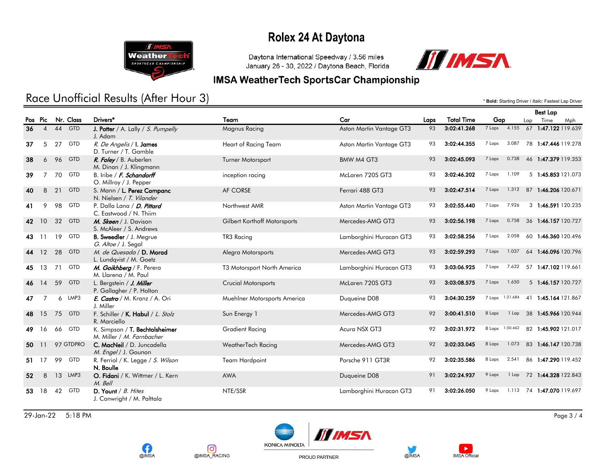

Daytona International Speedway / 3.56 miles January 26 - 30, 2022 / Daytona Beach, Florida



Best Lap

#### **IMSA WeatherTech SportsCar Championship**

## Race Unofficial Results (After Hour 3) **And a set of the Case of Lap Driver /** *Italic:* **Fastest Lap Driver /** *Italic:* **Fastest Lap Driver**

|       |                |    |            |                                                             |                              |                          |      |                   |                 |                 |             | <b>Best Lap</b>           |     |
|-------|----------------|----|------------|-------------------------------------------------------------|------------------------------|--------------------------|------|-------------------|-----------------|-----------------|-------------|---------------------------|-----|
|       | Pos Pic        |    | Nr. Class  | Drivers*                                                    | Team                         | Car                      | Laps | <b>Total Time</b> | Gap             |                 | Time<br>Lap |                           | Mph |
| 36    | $\overline{4}$ |    | $44$ GTD   | <b>J. Potter</b> / A. Lally / S. Pumpelly<br>J. Adam        | Magnus Racing                | Aston Martin Vantage GT3 | 93   | 3:02:41.268       | 7 Laps          |                 |             | 4.155 67 1:47.122 119.639 |     |
| 37    | 5              |    | 27 GTD     | R. De Angelis / I. James<br>D. Turner / T. Gamble           | Heart of Racing Team         | Aston Martin Vantage GT3 | 93   | 3:02:44.355       | 7 Laps          | 3.087           |             | 78 1:47.446 119.278       |     |
| 38    | 6              |    | 96 GTD     | R. Foley / B. Auberlen<br>M. Dinan / J. Klingmann           | <b>Turner Motorsport</b>     | BMW M4 GT3               | 93   | 3:02:45.093       | 7 Laps          | 0.738           |             | 46 1:47.379 119.353       |     |
| 39    | $\overline{7}$ |    | 70 GTD     | B. Iribe / F. Schandorff<br>O. Millroy / J. Pepper          | inception racing             | McLaren 720S GT3         | 93   | 3:02:46.202       | 7 Laps          | 1.109           |             | 5 1:45.853 121.073        |     |
| 40    | 8              | 21 | <b>GTD</b> | S. Mann / L. Perez Companc<br>N. Nielsen / T. Vilander      | AF CORSE                     | Ferrari 488 GT3          | 93   | 3:02:47.514       | 7 Laps          | 1.312           |             | 87 1:46.206 120.671       |     |
| 41    | 9              |    | 98 GTD     | P. Dalla Lana / D. Pittard<br>C. Eastwood / N. Thiim        | Northwest AMR                | Aston Martin Vantage GT3 | 93   | 3:02:55.440       | 7 Laps          | 7.926           |             | 3 1:46.591 120.235        |     |
|       | 42 10          |    | 32 GTD     | M. Skeen / J. Davison<br>S. McAleer / S. Andrews            | Gilbert Korthoff Motorsports | Mercedes-AMG GT3         | 93   | 3:02:56.198       | 7 Laps          | 0.758           |             | 36 1:46.157 120.727       |     |
| 43 11 |                |    | 19 GTD     | <b>B. Sweedler</b> / J. Megrue<br>G. Altoe / J. Segal       | TR3 Racing                   | Lamborghini Huracan GT3  | 93   | 3:02:58.256       | 7 Laps          | 2.058           |             | 60 1:46.360 120.496       |     |
|       | 44 12          | 28 | <b>GTD</b> | M. de Quesada / D. Morad<br>L. Lundqvist / M. Goetz         | Alegra Motorsports           | Mercedes-AMG GT3         | 93   | 3:02:59.293       | 7 Laps          | 1.037           |             | 64 1:46.096 120.796       |     |
|       | 45 13          | 71 | <b>GTD</b> | M. Goikhberg / F. Perera<br>M. Llarena / M. Paul            | T3 Motorsport North America  | Lamborghini Huracan GT3  | 93   | 3:03:06.925       | 7 Laps          | 7.632           |             | 57 1:47.102 119.661       |     |
|       | 46 14          | 59 | <b>GTD</b> | L. Bergstein / J. Miller<br>P. Gallagher / P. Holton        | Crucial Motorsports          | McLaren 720S GT3         | 93   | 3:03:08.575       | 7 Laps          | 1.650           |             | 5 1:46.157 120.727        |     |
| 47    | $\overline{7}$ |    | 6 LMP3     | E. Castro / M. Kranz / A. Ori<br>J. Miller                  | Muehlner Motorsports America | Duqueine D08             | 93   | 3:04:30.259       | 7 Laps 1:21.684 |                 |             | 41 1:45.164 121.867       |     |
| 48    | 15             |    | 75 GTD     | F. Schiller / K. Habul / L. Stolz<br>R. Marciello           | Sun Energy 1                 | Mercedes-AMG GT3         | 92   | 3:00:41.510       | 8 Laps          | $1$ Lap         |             | 38 1:45.966 120.944       |     |
| 49.   | 16             |    | 66 GTD     | K. Simpson / T. Bechtolsheimer<br>M. Miller / M. Farnbacher | <b>Gradient Racing</b>       | Acura NSX GT3            | 92   | 3:02:31.972       |                 | 8 Laps 1:50.462 |             | 82 1:45.902 121.017       |     |
| 50    | 11             |    | 97 GTDPRO  | C. MacNeil / D. Juncadella<br>M. Engel / J. Gounon          | <b>WeatherTech Racing</b>    | Mercedes-AMG GT3         | 92   | 3:02:33.045       | 8 Laps          | 1.073           |             | 83 1:46.147 120.738       |     |
|       | 51 17          |    | 99 GTD     | R. Ferriol / K. Legge / S. Wilson<br>N. Boulle              | <b>Team Hardpoint</b>        | Porsche 911 GT3R         | 92   | 3:02:35.586       | 8 Laps          | 2.541           |             | 86 1:47.290 119.452       |     |
| 52    | 8              |    | 13 LMP3    | O. Fidani / K. Wittmer / L. Kern<br>M. Bell                 | <b>AWA</b>                   | Duqueine D08             | 91   | 3:02:24.937       | 9 Laps          |                 |             | 1 Lap 72 1:44.328 122.843 |     |
| 53    | 18             |    | 42 GTD     | D. Yount / $B.$ Hites<br>J. Conwright / M. Palttala         | NTE/SSR                      | Lamborghini Huracan GT3  | 91   | 3:02:26.050       | 9 Laps          |                 |             | 1.113 74 1:47.070 119.697 |     |

29-Jan-22 5:18 PM Page 3 / 4